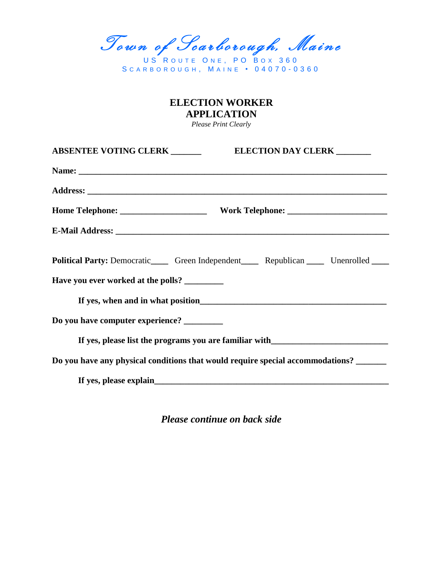Town of Scarborough, Maine

US ROUTE ONE, PO BOX 360 S C A R B O R O U G H , M A I N E • 0 4 0 7 0 - 0 3 6 0

## **ELECTION WORKER APPLICATION**

*Please Print Clearly*

|                                    | ELECTION DAY CLERK _______<br><b>ABSENTEE VOTING CLERK</b> ______                            |  |  |
|------------------------------------|----------------------------------------------------------------------------------------------|--|--|
|                                    |                                                                                              |  |  |
|                                    |                                                                                              |  |  |
|                                    |                                                                                              |  |  |
|                                    |                                                                                              |  |  |
|                                    | Political Party: Democratic______ Green Independent______ Republican ______ Unenrolled _____ |  |  |
| Have you ever worked at the polls? |                                                                                              |  |  |
|                                    |                                                                                              |  |  |
| Do you have computer experience?   |                                                                                              |  |  |
|                                    | If yes, please list the programs you are familiar with _________________________             |  |  |
|                                    | Do you have any physical conditions that would require special accommodations?               |  |  |
|                                    |                                                                                              |  |  |

*Please continue on back side*